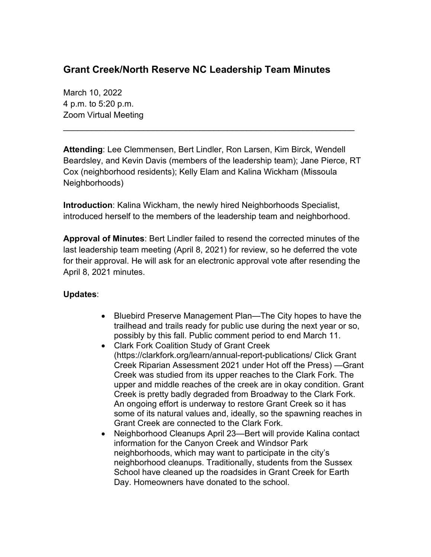## **Grant Creek/North Reserve NC Leadership Team Minutes**

March 10, 2022 4 p.m. to 5:20 p.m. Zoom Virtual Meeting

**Attending**: Lee Clemmensen, Bert Lindler, Ron Larsen, Kim Birck, Wendell Beardsley, and Kevin Davis (members of the leadership team); Jane Pierce, RT Cox (neighborhood residents); Kelly Elam and Kalina Wickham (Missoula Neighborhoods)

\_\_\_\_\_\_\_\_\_\_\_\_\_\_\_\_\_\_\_\_\_\_\_\_\_\_\_\_\_\_\_\_\_\_\_\_\_\_\_\_\_\_\_\_\_\_\_\_\_\_\_\_\_\_\_\_\_\_\_\_\_\_

**Introduction**: Kalina Wickham, the newly hired Neighborhoods Specialist, introduced herself to the members of the leadership team and neighborhood.

**Approval of Minutes**: Bert Lindler failed to resend the corrected minutes of the last leadership team meeting (April 8, 2021) for review, so he deferred the vote for their approval. He will ask for an electronic approval vote after resending the April 8, 2021 minutes.

## **Updates**:

- Bluebird Preserve Management Plan—The City hopes to have the trailhead and trails ready for public use during the next year or so, possibly by this fall. Public comment period to end March 11.
- Clark Fork Coalition Study of Grant Creek (https://clarkfork.org/learn/annual-report-publications/ Click Grant Creek Riparian Assessment 2021 under Hot off the Press) —Grant Creek was studied from its upper reaches to the Clark Fork. The upper and middle reaches of the creek are in okay condition. Grant Creek is pretty badly degraded from Broadway to the Clark Fork. An ongoing effort is underway to restore Grant Creek so it has some of its natural values and, ideally, so the spawning reaches in Grant Creek are connected to the Clark Fork.
- Neighborhood Cleanups April 23—Bert will provide Kalina contact information for the Canyon Creek and Windsor Park neighborhoods, which may want to participate in the city's neighborhood cleanups. Traditionally, students from the Sussex School have cleaned up the roadsides in Grant Creek for Earth Day. Homeowners have donated to the school.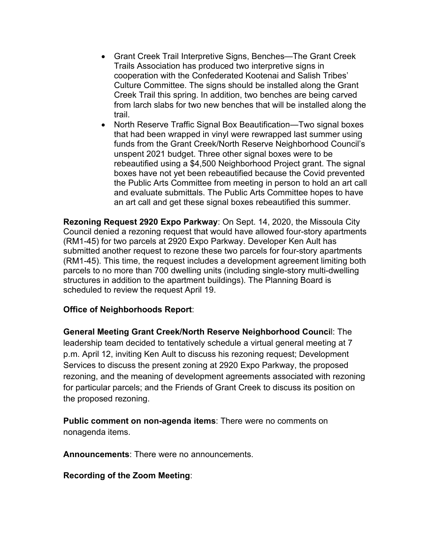- Grant Creek Trail Interpretive Signs, Benches—The Grant Creek Trails Association has produced two interpretive signs in cooperation with the Confederated Kootenai and Salish Tribes' Culture Committee. The signs should be installed along the Grant Creek Trail this spring. In addition, two benches are being carved from larch slabs for two new benches that will be installed along the trail.
- North Reserve Traffic Signal Box Beautification—Two signal boxes that had been wrapped in vinyl were rewrapped last summer using funds from the Grant Creek/North Reserve Neighborhood Council's unspent 2021 budget. Three other signal boxes were to be rebeautified using a \$4,500 Neighborhood Project grant. The signal boxes have not yet been rebeautified because the Covid prevented the Public Arts Committee from meeting in person to hold an art call and evaluate submittals. The Public Arts Committee hopes to have an art call and get these signal boxes rebeautified this summer.

**Rezoning Request 2920 Expo Parkway**: On Sept. 14, 2020, the Missoula City Council denied a rezoning request that would have allowed four-story apartments (RM1-45) for two parcels at 2920 Expo Parkway. Developer Ken Ault has submitted another request to rezone these two parcels for four-story apartments (RM1-45). This time, the request includes a development agreement limiting both parcels to no more than 700 dwelling units (including single-story multi-dwelling structures in addition to the apartment buildings). The Planning Board is scheduled to review the request April 19.

## **Office of Neighborhoods Report**:

**General Meeting Grant Creek/North Reserve Neighborhood Counci**l: The leadership team decided to tentatively schedule a virtual general meeting at 7 p.m. April 12, inviting Ken Ault to discuss his rezoning request; Development Services to discuss the present zoning at 2920 Expo Parkway, the proposed rezoning, and the meaning of development agreements associated with rezoning for particular parcels; and the Friends of Grant Creek to discuss its position on the proposed rezoning.

**Public comment on non-agenda items**: There were no comments on nonagenda items.

**Announcements**: There were no announcements.

**Recording of the Zoom Meeting**: